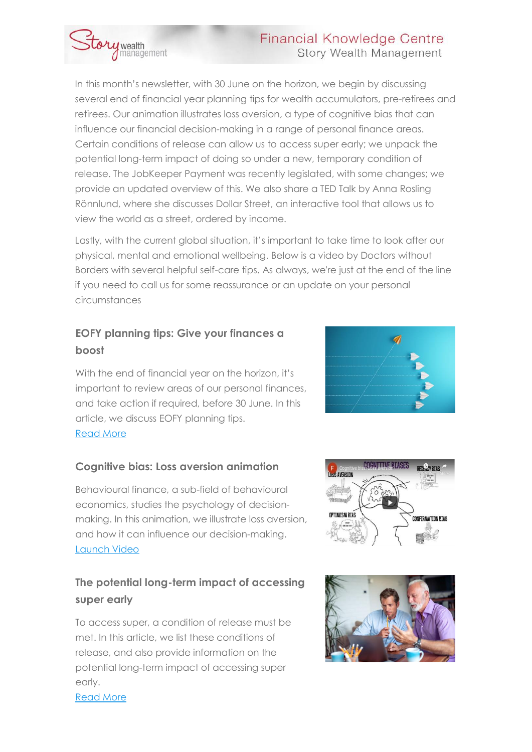### **Financial Knowledge Centre Story Wealth Management**



In this month's newsletter, with 30 June on the horizon, we begin by discussing several end of financial year planning tips for wealth accumulators, pre-retirees and retirees. Our animation illustrates loss aversion, a type of cognitive bias that can influence our financial decision-making in a range of personal finance areas. Certain conditions of release can allow us to access super early; we unpack the potential long-term impact of doing so under a new, temporary condition of release. The JobKeeper Payment was recently legislated, with some changes; we provide an updated overview of this. We also share a TED Talk by Anna Rosling Rönnlund, where she discusses Dollar Street, an interactive tool that allows us to view the world as a street, ordered by income.

Lastly, with the current global situation, it's important to take time to look after our physical, mental and emotional wellbeing. Below is a video by Doctors without Borders with several helpful self-care tips. As always, we're just at the end of the line if you need to call us for some reassurance or an update on your personal circumstances

### **EOFY planning tips: Give your finances a boost**

With the end of financial year on the horizon, it's important to review areas of our personal finances, and take action if required, before 30 June. In this article, we discuss EOFY planning tips. [Read More](https://urldefense.proofpoint.com/v2/url?u=http-3A__email.mg.financialknowledgecentre.com.au_c_eJyFzkGugyAUheHV4JBcQKQMGNj43EZzH14KKaJBXkx3X7uCl5zhny9ncUqKoLrkJEgALSxYLbThgk8j2J-5FxPhtrhO7HmfWwPnlIBYtPmF9lOzMtT-5FJUWiXut5XjXxfdYKC3mkIQWgkfSINCCoMGGH6VwVuXXWxtP5gamZyvHW2r75Mwt-5Fgff9Uvj7Uln-2Dnge9yZmtPC1CQN2K66BUuinOlxXgLVG1yn49ZWTPkrfACOmExw&d=DwMGaQ&c=euGZstcaTDllvimEN8b7jXrwqOf-v5A_CdpgnVfiiMM&r=0qP-Kq0eLj3sSwJzmmDIs6NLC1x72pgm5ecO37cRi7k87xso1a28ci-qdBUOvbPG&m=Pudi7ydzHno_2rMu4lD-GhReJQsZCn6zS2SUVkS3e3U&s=PBQpU3ccJg4-UFhpMj1pTWjQw6zJDO8fR36RxVfd01M&e=) 



### **Cognitive bias: Loss aversion animation**

Behavioural finance, a sub-field of behavioural economics, studies the psychology of decisionmaking. In this animation, we illustrate loss aversion, and how it can influence our decision-making. [Launch Video](https://urldefense.proofpoint.com/v2/url?u=http-3A__email.mg.financialknowledgecentre.com.au_c_eJyFjkFuxCAQBF-2DDj4gZjDAHDo42-5FkY0gvGCFoNlk1j5fbwviNTHqlJHrxFWPWSPCpUy4JQzYKwE-2DZiV-2D5w-5FFussmHFexKi2p1xzpRoylVdtV-2DH45MC1HyxD2yR9D8m-5FcbtqPSLaMDkgHMERTm4CoEB2KD71vp9CzwKXe2dvx-2D-5FFVHr6L3-5FTr-5FCTI7dT7mkXeslR6AcgmuHwkWrmUvjrun0-2DJnVfTq1vlMvb-5FwOGMErh&d=DwMGaQ&c=euGZstcaTDllvimEN8b7jXrwqOf-v5A_CdpgnVfiiMM&r=0qP-Kq0eLj3sSwJzmmDIs6NLC1x72pgm5ecO37cRi7k87xso1a28ci-qdBUOvbPG&m=Pudi7ydzHno_2rMu4lD-GhReJQsZCn6zS2SUVkS3e3U&s=2UHs6Eg3jh219U28mmU3CnXpfestqE6x_sy_1LYgZA0&e=) 

### **The potential long-term impact of accessing super early**

To access super, a condition of release must be met. In this article, we list these conditions of release, and also provide information on the potential long-term impact of accessing super early.





[Read More](https://urldefense.proofpoint.com/v2/url?u=http-3A__email.mg.financialknowledgecentre.com.au_c_eJyFzkGugyAUheHV4JBcLlJlwMCmdRsvCJdCimiQxnT3z7eCl5zhny-5FHG4kiyC4ZBARQQoNWQg1c8McE-2Djnd50EPQvXTzHpYXzykYotLNr-5FLdmbyL3JUWiXutpXbTxfNougmRlqWQKgJAxKOVmnyoN0tCOyyia3tB5MTw-5Fna0bb6PcnmFv-5Fjr-5FrtbG3JZTr4Hncm5-2DSZfOAgoKvG25IoZ-5Fo5L4HqCNfpuLXVpvwn-5FAIAtE0x&d=DwMGaQ&c=euGZstcaTDllvimEN8b7jXrwqOf-v5A_CdpgnVfiiMM&r=0qP-Kq0eLj3sSwJzmmDIs6NLC1x72pgm5ecO37cRi7k87xso1a28ci-qdBUOvbPG&m=Pudi7ydzHno_2rMu4lD-GhReJQsZCn6zS2SUVkS3e3U&s=yMOUIWhCrdYmOHKrKYPHfwtpaT4C-RI-QL1slCSClMs&e=)